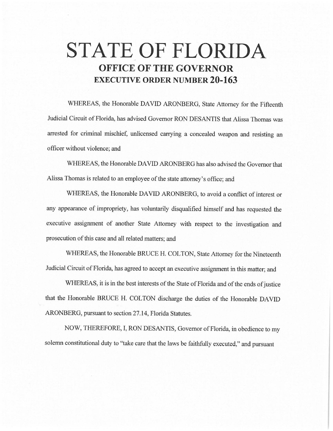# **STATE OF FLORIDA OFFICE OF THE GOVERNOR EXECUTIVE ORDER NUMBER 20-163**

WHEREAS, the Honorable DAVID ARONBERG, State Attorney for the Fifteenth Judicial Circuit of Florida, has advised Governor RON DESANTIS that Alissa Thomas was arrested for criminal mischief, unlicensed carrying a concealed weapon and resisting an officer without violence; and

WHEREAS, the Honorable DAVID ARONBERG has also advised the Governor that Alissa Thomas is related to an employee of the state attorney's office; and

WHEREAS, the Honorable DAVID ARONBERG, to avoid a conflict of interest or any appearance of impropriety, has voluntarily disqualified himself and has requested the executive assignment of another State Attorney with respect to the investigation and prosecution of this case and all related matters; and

WHEREAS, the Honorable BRUCE H. COLTON, State Attorney for the Nineteenth Judicial Circuit of Florida, has agreed to accept an executive assignment in this matter; and

WHEREAS, it is in the best interests of the State of Florida and of the ends of justice that the Honorable BRUCE H. COLTON discharge the duties of the Honorable DAVID ARONBERG, pursuant to section 27.14, Florida Statutes.

NOW, THEREFORE, I, RON DESANTIS, Governor of Florida, in obedience to my solemn constitutional duty to "take care that the laws be faithfully executed," and pursuant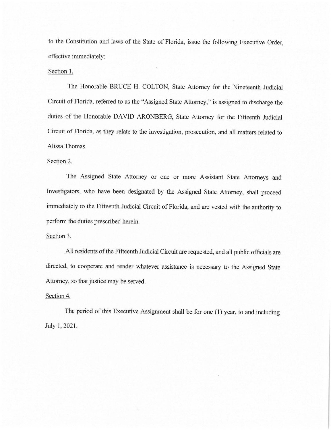to the Constitution and laws of the State of Florida, issue the following Executive Order, effective immediately:

## Section 1.

The Honorable BRUCE H. COLTON, State Attorney for the Nineteenth Judicial Circuit of Florida, referred to as the "Assigned State Attorney," is assigned to discharge the duties of the Honorable DAVID ARONBERG, State Attorney for the Fifteenth Judicial Circuit of Florida, as they relate to the investigation, prosecution, and all matters related to Alissa Thomas.

#### Section 2.

The Assigned State Attorney or one or more Assistant State Attorneys and Investigators, who have been designated by the Assigned State Attorney, shall proceed immediately to the Fifteenth Judicial Circuit of Florida, and are vested with the authority to perform the duties prescribed herein.

### Section 3.

All residents of the Fifteenth Judicial Circuit are requested, and all public officials are directed, to cooperate and render whatever assistance is necessary to the Assigned State Attorney, so that justice may be served.

#### Section 4.

The period of this Executive Assignment shall be for one (1) year, to and including July 1, 2021.